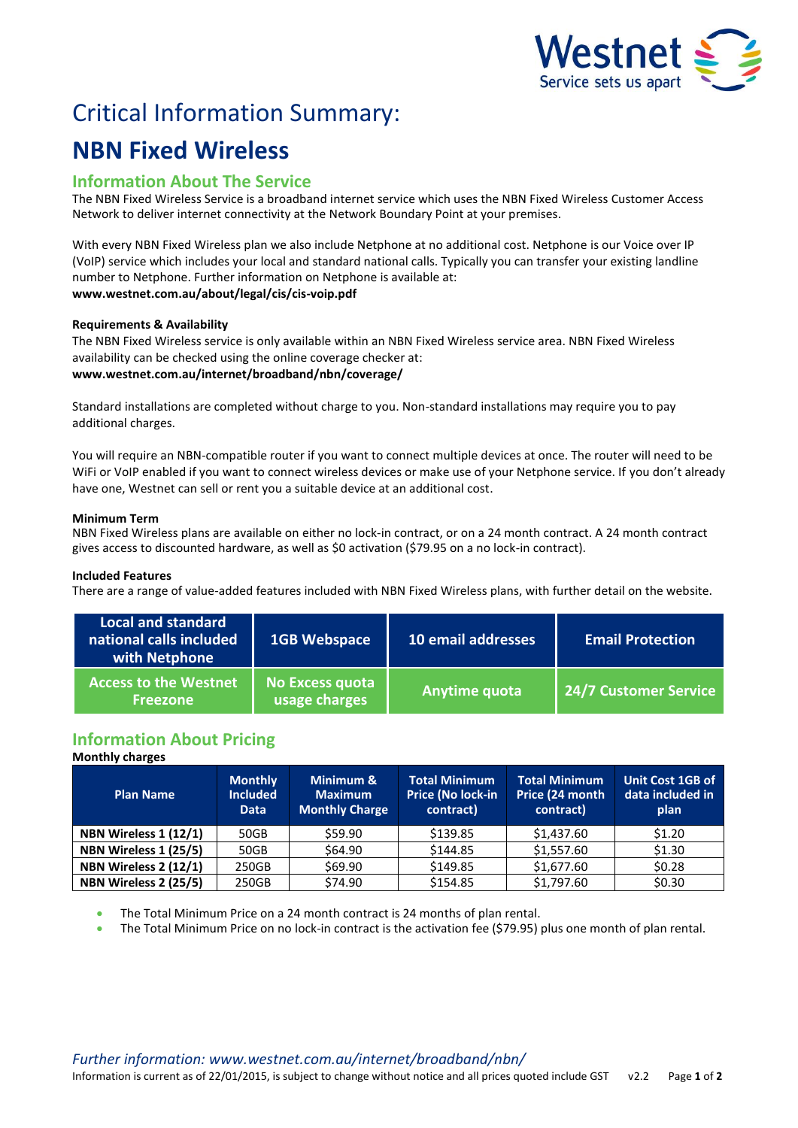

# Critical Information Summary:

# **NBN Fixed Wireless**

# **Information About The Service**

The NBN Fixed Wireless Service is a broadband internet service which uses the NBN Fixed Wireless Customer Access Network to deliver internet connectivity at the Network Boundary Point at your premises.

With every NBN Fixed Wireless plan we also include Netphone at no additional cost. Netphone is our Voice over IP (VoIP) service which includes your local and standard national calls. Typically you can transfer your existing landline number to Netphone. Further information on Netphone is available at: **www.westnet.com.au/about/legal/cis/cis-voip.pdf**

## **Requirements & Availability**

The NBN Fixed Wireless service is only available within an NBN Fixed Wireless service area. NBN Fixed Wireless availability can be checked using the online coverage checker at: **www.westnet.com.au/internet/broadband/nbn/coverage/**

Standard installations are completed without charge to you. Non-standard installations may require you to pay additional charges.

You will require an NBN-compatible router if you want to connect multiple devices at once. The router will need to be WiFi or VoIP enabled if you want to connect wireless devices or make use of your Netphone service. If you don't already have one, Westnet can sell or rent you a suitable device at an additional cost.

## **Minimum Term**

NBN Fixed Wireless plans are available on either no lock-in contract, or on a 24 month contract. A 24 month contract gives access to discounted hardware, as well as \$0 activation (\$79.95 on a no lock-in contract).

## **Included Features**

There are a range of value-added features included with NBN Fixed Wireless plans, with further detail on the website.

| <b>Local and standard</b><br>national calls included<br>with Netphone | <b>1GB Webspace</b>              | 10 email addresses | <b>Email Protection</b> |
|-----------------------------------------------------------------------|----------------------------------|--------------------|-------------------------|
| <b>Access to the Westnet</b><br><b>Freezone</b>                       | No Excess quota<br>usage charges | Anytime quota      | 24/7 Customer Service   |

# **Information About Pricing**

## **Monthly charges**

| <b>Plan Name</b>      | <b>Monthly</b><br><b>Included</b><br><b>Data</b> | Minimum &<br><b>Maximum</b><br><b>Monthly Charge</b> | <b>Total Minimum</b><br>Price (No lock-in<br>contract) | Total Minimum<br>Price (24 month<br>contract) | <b>Unit Cost 1GB of</b><br>data included in<br>plan |
|-----------------------|--------------------------------------------------|------------------------------------------------------|--------------------------------------------------------|-----------------------------------------------|-----------------------------------------------------|
| NBN Wireless 1 (12/1) | 50GB                                             | \$59.90                                              | \$139.85                                               | \$1,437.60                                    | \$1.20                                              |
| NBN Wireless 1 (25/5) | 50GB                                             | \$64.90                                              | \$144.85                                               | \$1,557.60                                    | \$1.30                                              |
| NBN Wireless 2 (12/1) | 250GB                                            | \$69.90                                              | \$149.85                                               | \$1,677.60                                    | \$0.28                                              |
| NBN Wireless 2 (25/5) | 250GB                                            | \$74.90                                              | \$154.85                                               | \$1,797.60                                    | \$0.30                                              |

The Total Minimum Price on a 24 month contract is 24 months of plan rental.

The Total Minimum Price on no lock-in contract is the activation fee (\$79.95) plus one month of plan rental.